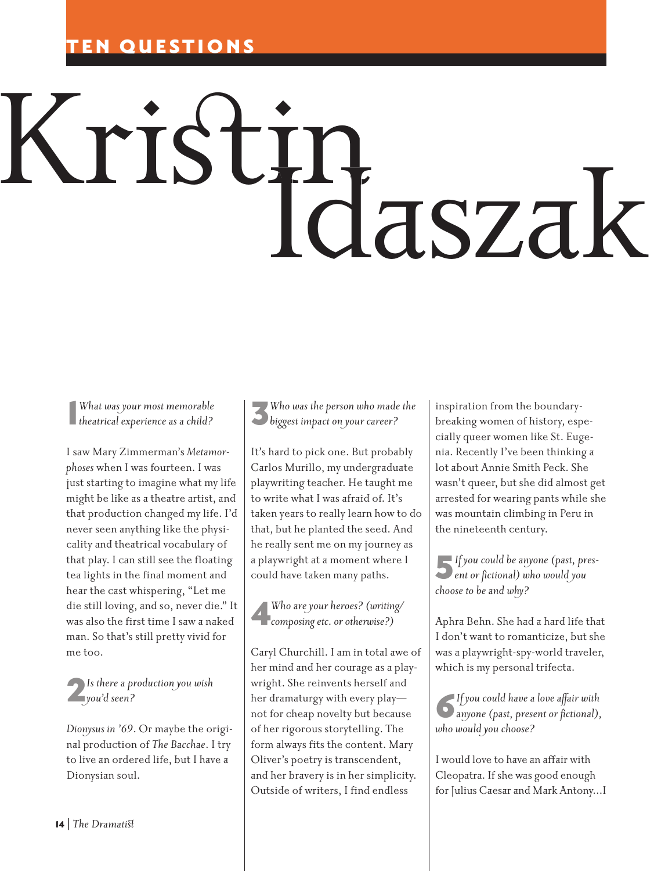## **QUESTIONS**

## Kristin Idaszak

1 *theatrical experience as a child? What was your most memorable*

I saw Mary Zimmerman's *Metamorphoses* when I was fourteen. I was just starting to imagine what my life might be like as a theatre artist, and that production changed my life. I'd never seen anything like the physicality and theatrical vocabulary of that play. I can still see the floating tea lights in the final moment and hear the cast whispering, "Let me die still loving, and so, never die." It was also the first time I saw a naked man. So that's still pretty vivid for me too.

## 2*Is there a production you wish you'd seen?*

*Dionysus in '69*. Or maybe the original production of *The Bacchae*. I try to live an ordered life, but I have a Dionysian soul.

3*Who was the person who made the biggest impact on your career?*

It's hard to pick one. But probably Carlos Murillo, my undergraduate playwriting teacher. He taught me to write what I was afraid of. It's taken years to really learn how to do that, but he planted the seed. And he really sent me on my journey as a playwright at a moment where I could have taken many paths.

4*Who are your heroes? (writing/ composing etc. or otherwise?)*

Caryl Churchill. I am in total awe of her mind and her courage as a playwright. She reinvents herself and her dramaturgy with every play not for cheap novelty but because of her rigorous storytelling. The form always fits the content. Mary Oliver's poetry is transcendent, and her bravery is in her simplicity. Outside of writers, I find endless

inspiration from the boundarybreaking women of history, especially queer women like St. Eugenia. Recently I've been thinking a lot about Annie Smith Peck. She wasn't queer, but she did almost get arrested for wearing pants while she was mountain climbing in Peru in the nineteenth century.

5*If you could be anyone (past, pres-ent or fictional) who would you choose to be and why?*

Aphra Behn. She had a hard life that I don't want to romanticize, but she was a playwright-spy-world traveler, which is my personal trifecta.

6*If you could have a love affair with anyone (past, present or fictional), who would you choose?*

I would love to have an affair with Cleopatra. If she was good enough for Julius Caesar and Mark Antony…I